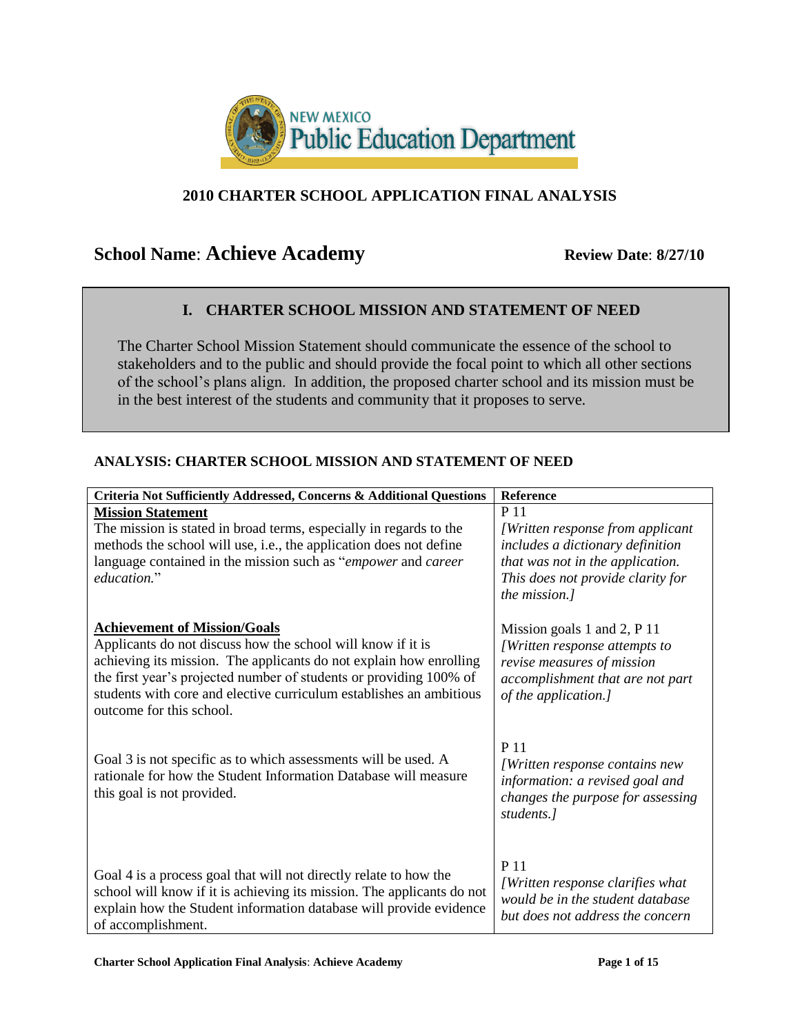

## **2010 CHARTER SCHOOL APPLICATION FINAL ANALYSIS**

# **School Name: Achieve Academy Review Date: 8/27/10**

## **I. CHARTER SCHOOL MISSION AND STATEMENT OF NEED**

The Charter School Mission Statement should communicate the essence of the school to stakeholders and to the public and should provide the focal point to which all other sections of the school's plans align. In addition, the proposed charter school and its mission must be in the best interest of the students and community that it proposes to serve.

| Criteria Not Sufficiently Addressed, Concerns & Additional Questions   | Reference                         |
|------------------------------------------------------------------------|-----------------------------------|
| <b>Mission Statement</b>                                               | P 11                              |
| The mission is stated in broad terms, especially in regards to the     | [Written response from applicant] |
| methods the school will use, i.e., the application does not define     | includes a dictionary definition  |
| language contained in the mission such as "empower and career"         | that was not in the application.  |
| education."                                                            | This does not provide clarity for |
|                                                                        | the mission.]                     |
|                                                                        |                                   |
| <b>Achievement of Mission/Goals</b>                                    | Mission goals 1 and 2, $P$ 11     |
| Applicants do not discuss how the school will know if it is            | [Written response attempts to     |
| achieving its mission. The applicants do not explain how enrolling     | revise measures of mission        |
| the first year's projected number of students or providing 100% of     | accomplishment that are not part  |
| students with core and elective curriculum establishes an ambitious    | of the application.]              |
| outcome for this school.                                               |                                   |
|                                                                        |                                   |
|                                                                        | P 11                              |
| Goal 3 is not specific as to which assessments will be used. A         | [Written response contains new    |
| rationale for how the Student Information Database will measure        | information: a revised goal and   |
| this goal is not provided.                                             | changes the purpose for assessing |
|                                                                        | students.]                        |
|                                                                        |                                   |
|                                                                        |                                   |
| Goal 4 is a process goal that will not directly relate to how the      | P 11                              |
| school will know if it is achieving its mission. The applicants do not | [Written response clarifies what  |
| explain how the Student information database will provide evidence     | would be in the student database  |
| of accomplishment.                                                     | but does not address the concern  |

#### **ANALYSIS: CHARTER SCHOOL MISSION AND STATEMENT OF NEED**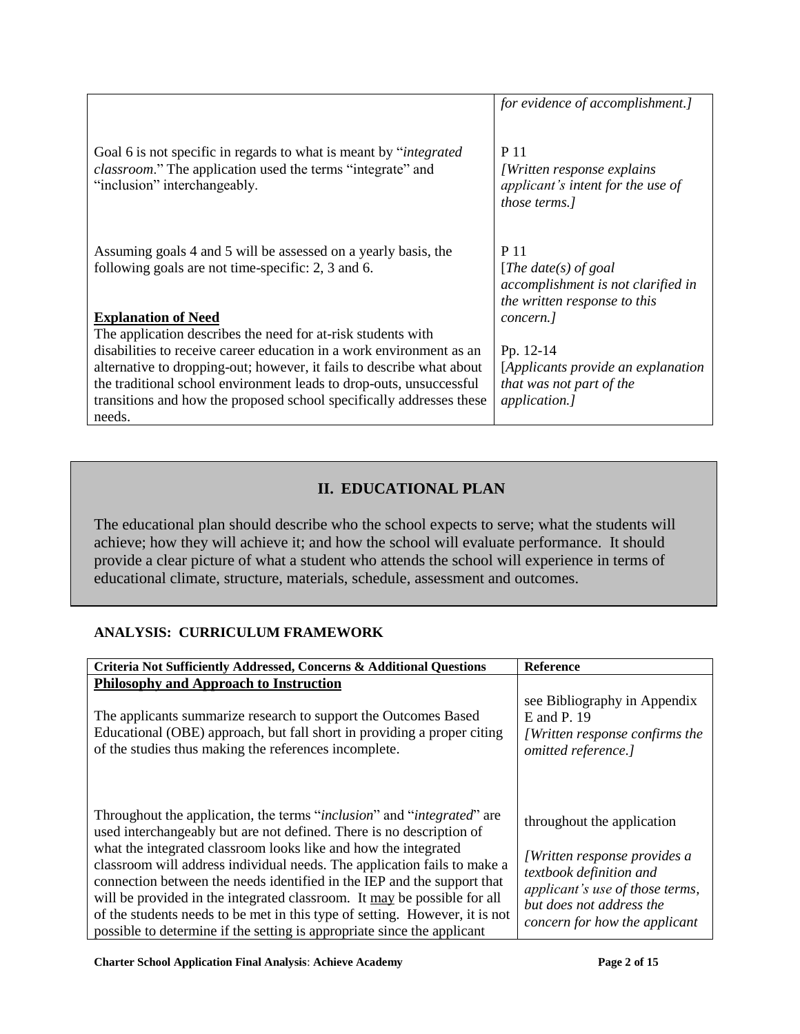|                                                                                                                                                                          | for evidence of accomplishment.]                                                                           |
|--------------------------------------------------------------------------------------------------------------------------------------------------------------------------|------------------------------------------------------------------------------------------------------------|
| Goal 6 is not specific in regards to what is meant by "integrated"<br><i>classroom.</i> " The application used the terms "integrate" and<br>"inclusion" interchangeably. | P 11<br><i>[Written response explains]</i><br>applicant's intent for the use of<br>those terms.]           |
| Assuming goals 4 and 5 will be assessed on a yearly basis, the<br>following goals are not time-specific: 2, 3 and 6.                                                     | P 11<br>[ <i>The date(s) of goal</i><br>accomplishment is not clarified in<br>the written response to this |
| <b>Explanation of Need</b>                                                                                                                                               | concern.]                                                                                                  |
| The application describes the need for at-risk students with<br>disabilities to receive career education in a work environment as an                                     |                                                                                                            |
| alternative to dropping-out; however, it fails to describe what about                                                                                                    | Pp. 12-14<br>[Applicants provide an explanation                                                            |
| the traditional school environment leads to drop-outs, unsuccessful                                                                                                      | that was not part of the                                                                                   |
| transitions and how the proposed school specifically addresses these                                                                                                     | <i>application.]</i>                                                                                       |
| needs.                                                                                                                                                                   |                                                                                                            |

## **II. EDUCATIONAL PLAN**

The educational plan should describe who the school expects to serve; what the students will achieve; how they will achieve it; and how the school will evaluate performance. It should provide a clear picture of what a student who attends the school will experience in terms of educational climate, structure, materials, schedule, assessment and outcomes.

## **ANALYSIS: CURRICULUM FRAMEWORK**

| Criteria Not Sufficiently Addressed, Concerns & Additional Questions                                                                                                                                                                                                                                                                                                                                                                                                                                                                                                                                                             | <b>Reference</b>                                                                                                                                                                             |
|----------------------------------------------------------------------------------------------------------------------------------------------------------------------------------------------------------------------------------------------------------------------------------------------------------------------------------------------------------------------------------------------------------------------------------------------------------------------------------------------------------------------------------------------------------------------------------------------------------------------------------|----------------------------------------------------------------------------------------------------------------------------------------------------------------------------------------------|
| <b>Philosophy and Approach to Instruction</b>                                                                                                                                                                                                                                                                                                                                                                                                                                                                                                                                                                                    |                                                                                                                                                                                              |
| The applicants summarize research to support the Outcomes Based<br>Educational (OBE) approach, but fall short in providing a proper citing<br>of the studies thus making the references incomplete.                                                                                                                                                                                                                                                                                                                                                                                                                              | see Bibliography in Appendix<br>E and P. 19<br>[Written response confirms the<br>omitted reference.]                                                                                         |
| Throughout the application, the terms " <i>inclusion</i> " and " <i>integrated</i> " are<br>used interchangeably but are not defined. There is no description of<br>what the integrated classroom looks like and how the integrated<br>classroom will address individual needs. The application fails to make a<br>connection between the needs identified in the IEP and the support that<br>will be provided in the integrated classroom. It may be possible for all<br>of the students needs to be met in this type of setting. However, it is not<br>possible to determine if the setting is appropriate since the applicant | throughout the application<br><i>[Written response provides a</i><br>textbook definition and<br>applicant's use of those terms,<br>but does not address the<br>concern for how the applicant |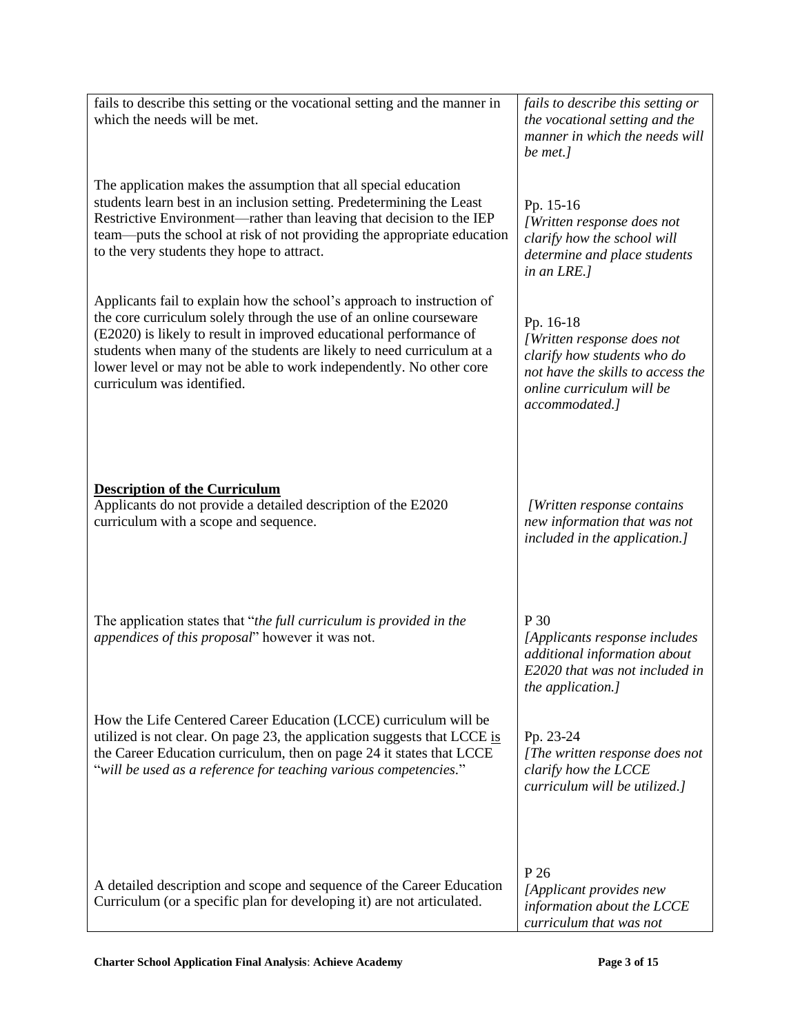| fails to describe this setting or the vocational setting and the manner in<br>which the needs will be met.                                      | fails to describe this setting or<br>the vocational setting and the<br>manner in which the needs will<br>be met.]            |
|-------------------------------------------------------------------------------------------------------------------------------------------------|------------------------------------------------------------------------------------------------------------------------------|
| The application makes the assumption that all special education                                                                                 | Pp. 15-16                                                                                                                    |
| students learn best in an inclusion setting. Predetermining the Least                                                                           | [Written response does not                                                                                                   |
| Restrictive Environment—rather than leaving that decision to the IEP                                                                            | clarify how the school will                                                                                                  |
| team—puts the school at risk of not providing the appropriate education                                                                         | determine and place students                                                                                                 |
| to the very students they hope to attract.                                                                                                      | in an LRE.]                                                                                                                  |
| Applicants fail to explain how the school's approach to instruction of                                                                          | Pp. 16-18                                                                                                                    |
| the core curriculum solely through the use of an online courseware                                                                              | [Written response does not                                                                                                   |
| (E2020) is likely to result in improved educational performance of                                                                              | clarify how students who do                                                                                                  |
| students when many of the students are likely to need curriculum at a                                                                           | not have the skills to access the                                                                                            |
| lower level or may not be able to work independently. No other core                                                                             | online curriculum will be                                                                                                    |
| curriculum was identified.                                                                                                                      | accommodated.]                                                                                                               |
| <b>Description of the Curriculum</b>                                                                                                            | [Written response contains                                                                                                   |
| Applicants do not provide a detailed description of the E2020                                                                                   | new information that was not                                                                                                 |
| curriculum with a scope and sequence.                                                                                                           | included in the application.]                                                                                                |
| The application states that "the full curriculum is provided in the<br>appendices of this proposal" however it was not.                         | P 30<br>[Applicants response includes<br>additional information about<br>E2020 that was not included in<br>the application.] |
| How the Life Centered Career Education (LCCE) curriculum will be                                                                                | Pp. 23-24                                                                                                                    |
| utilized is not clear. On page 23, the application suggests that LCCE is                                                                        | [The written response does not                                                                                               |
| the Career Education curriculum, then on page 24 it states that LCCE                                                                            | clarify how the LCCE                                                                                                         |
| "will be used as a reference for teaching various competencies."                                                                                | curriculum will be utilized.]                                                                                                |
| A detailed description and scope and sequence of the Career Education<br>Curriculum (or a specific plan for developing it) are not articulated. | P 26<br>[Applicant provides new<br>information about the LCCE<br>curriculum that was not                                     |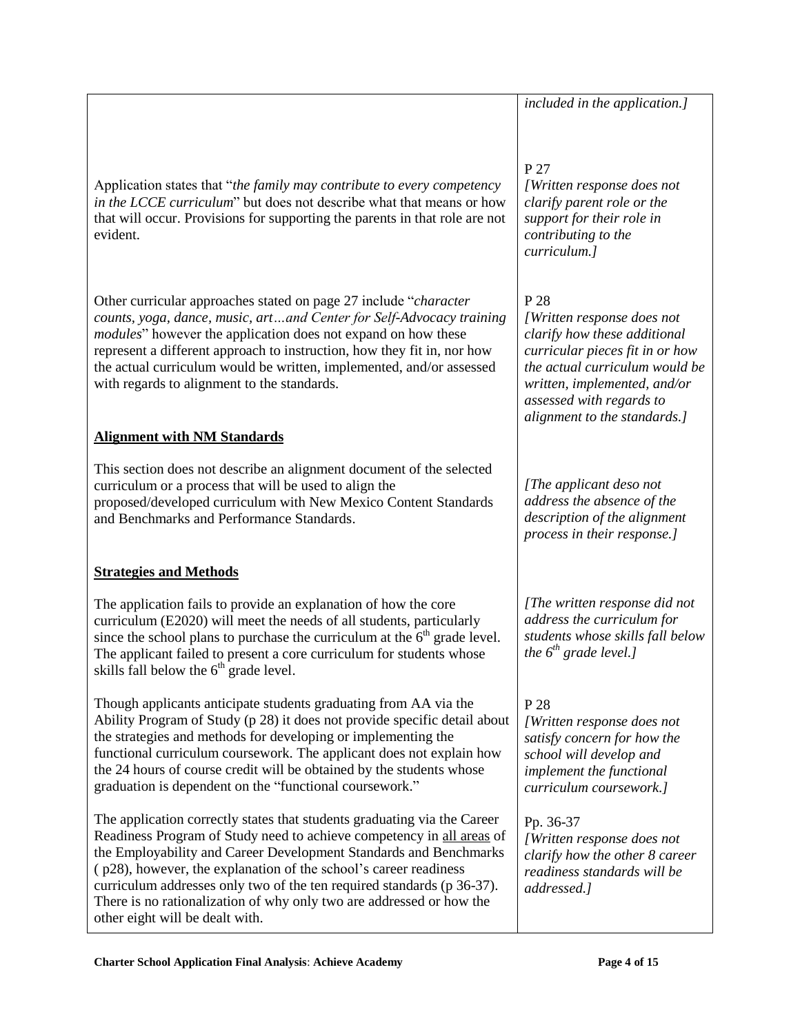Application states that "*the family may contribute to every competency in the LCCE curriculum*" but does not describe what that means or how that will occur. Provisions for supporting the parents in that role are not evident.

Other curricular approaches stated on page 27 include "*character*" *counts, yoga, dance, music, art…and Center for Self-Advocacy training modules*" however the application does not expand on how these represent a different approach to instruction, how they fit in, nor how the actual curriculum would be written, implemented, and/or assessed with regards to alignment to the standards.

## **Alignment with NM Standards**

This section does not describe an alignment document of the selected curriculum or a process that will be used to align the proposed/developed curriculum with New Mexico Content Standards and Benchmarks and Performance Standards.

## **Strategies and Methods**

The application fails to provide an explanation of how the core curriculum (E2020) will meet the needs of all students, particularly since the school plans to purchase the curriculum at the  $6<sup>th</sup>$  grade level. The applicant failed to present a core curriculum for students whose skills fall below the  $6<sup>th</sup>$  grade level.

Though applicants anticipate students graduating from AA via the Ability Program of Study (p 28) it does not provide specific detail about the strategies and methods for developing or implementing the functional curriculum coursework. The applicant does not explain how the 24 hours of course credit will be obtained by the students whose graduation is dependent on the "functional coursework."

The application correctly states that students graduating via the Career Readiness Program of Study need to achieve competency in all areas of the Employability and Career Development Standards and Benchmarks ( p28), however, the explanation of the school's career readiness curriculum addresses only two of the ten required standards (p 36-37). There is no rationalization of why only two are addressed or how the other eight will be dealt with.

*included in the application.]*

## P 27

*[Written response does not clarify parent role or the support for their role in contributing to the curriculum.]*

## P 28

*[Written response does not clarify how these additional curricular pieces fit in or how the actual curriculum would be written, implemented, and/or assessed with regards to alignment to the standards.]*

*[The applicant deso not address the absence of the description of the alignment process in their response.]*

*[The written response did not address the curriculum for students whose skills fall below the 6th grade level.]*

# P 28

*[Written response does not satisfy concern for how the school will develop and implement the functional curriculum coursework.]*

Pp. 36-37 *[Written response does not clarify how the other 8 career readiness standards will be addressed.]*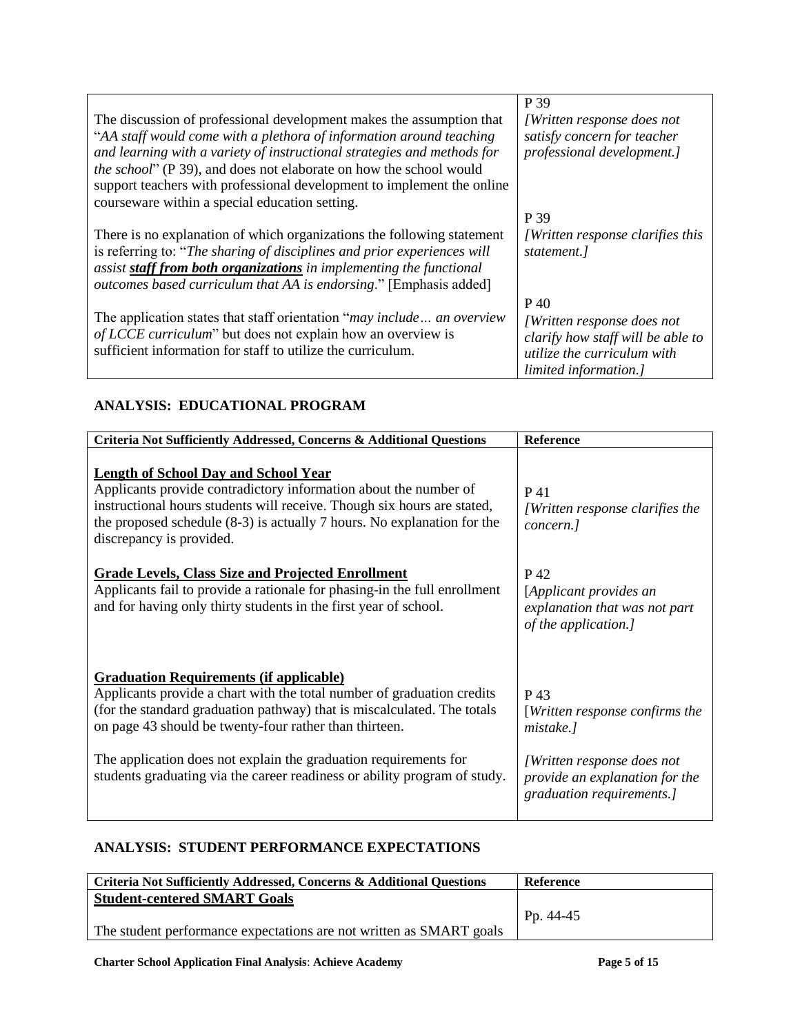|                                                                                | P 39                                      |
|--------------------------------------------------------------------------------|-------------------------------------------|
| The discussion of professional development makes the assumption that           | [Written response does not                |
| "AA staff would come with a plethora of information around teaching            | satisfy concern for teacher               |
| and learning with a variety of instructional strategies and methods for        | professional development.]                |
| <i>the school</i> " (P 39), and does not elaborate on how the school would     |                                           |
| support teachers with professional development to implement the online         |                                           |
| courseware within a special education setting.                                 |                                           |
|                                                                                | P 39                                      |
| There is no explanation of which organizations the following statement         | <i>[Written response clarifies this</i> ] |
| is referring to: "The sharing of disciplines and prior experiences will        | statement.                                |
| assist staff from both organizations in implementing the functional            |                                           |
| outcomes based curriculum that AA is endorsing." [Emphasis added]              |                                           |
|                                                                                | P 40                                      |
| The application states that staff orientation " <i>may include</i> an overview | <i>[Written response does not</i> ]       |
| of LCCE curriculum" but does not explain how an overview is                    | clarify how staff will be able to         |
| sufficient information for staff to utilize the curriculum.                    | utilize the curriculum with               |
|                                                                                | limited information.]                     |

## **ANALYSIS: EDUCATIONAL PROGRAM**

| Criteria Not Sufficiently Addressed, Concerns & Additional Questions                                                                                                                                                                                                                                | <b>Reference</b>                                                                          |
|-----------------------------------------------------------------------------------------------------------------------------------------------------------------------------------------------------------------------------------------------------------------------------------------------------|-------------------------------------------------------------------------------------------|
| <b>Length of School Day and School Year</b><br>Applicants provide contradictory information about the number of<br>instructional hours students will receive. Though six hours are stated,<br>the proposed schedule $(8-3)$ is actually 7 hours. No explanation for the<br>discrepancy is provided. | P 41<br><i>[Written response clarifies the</i><br>concern.]                               |
| <b>Grade Levels, Class Size and Projected Enrollment</b><br>Applicants fail to provide a rationale for phasing-in the full enrollment<br>and for having only thirty students in the first year of school.                                                                                           | P 42<br>[Applicant provides an<br>explanation that was not part<br>of the application.]   |
| <b>Graduation Requirements (if applicable)</b><br>Applicants provide a chart with the total number of graduation credits<br>(for the standard graduation pathway) that is miscalculated. The totals<br>on page 43 should be twenty-four rather than thirteen.                                       | P 43<br>[Written response confirms the<br>mistake.]                                       |
| The application does not explain the graduation requirements for<br>students graduating via the career readiness or ability program of study.                                                                                                                                                       | [Written response does not<br>provide an explanation for the<br>graduation requirements.] |

## **ANALYSIS: STUDENT PERFORMANCE EXPECTATIONS**

| Criteria Not Sufficiently Addressed, Concerns & Additional Questions | Reference   |
|----------------------------------------------------------------------|-------------|
| <b>Student-centered SMART Goals</b>                                  |             |
|                                                                      | $Pp. 44-45$ |
| The student performance expectations are not written as SMART goals  |             |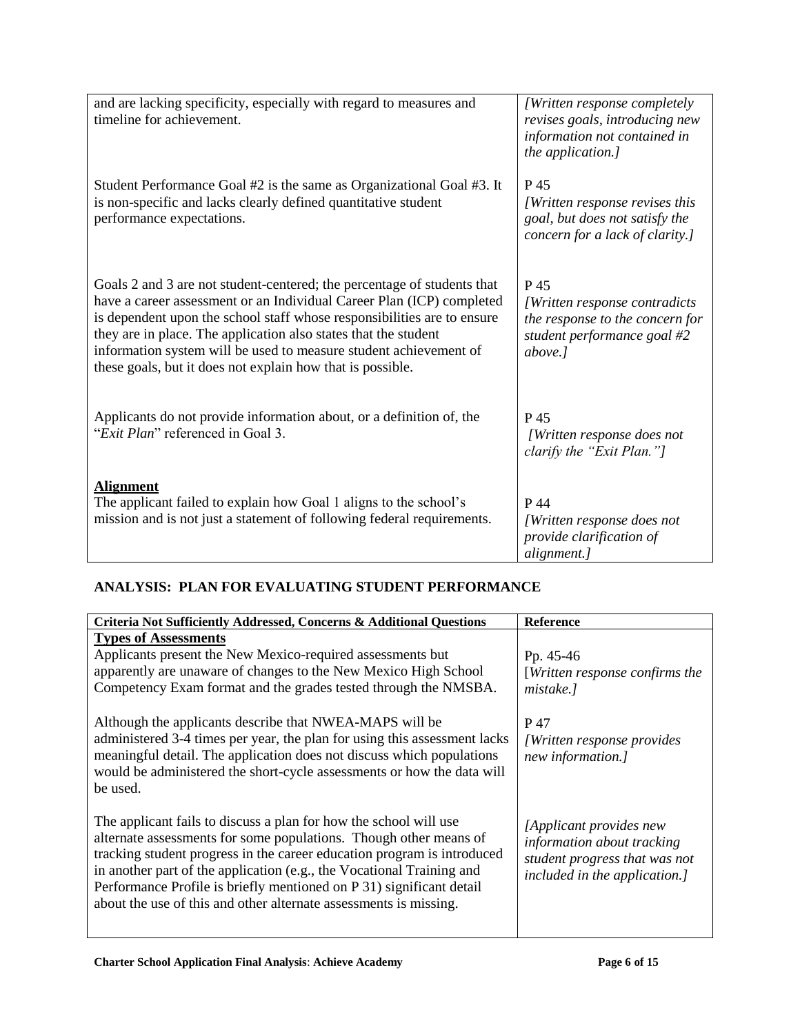| and are lacking specificity, especially with regard to measures and<br>timeline for achievement.                                                                                                                                                                                                                                                                                                                                  | [Written response completely<br>revises goals, introducing new<br>information not contained in<br>the application.] |
|-----------------------------------------------------------------------------------------------------------------------------------------------------------------------------------------------------------------------------------------------------------------------------------------------------------------------------------------------------------------------------------------------------------------------------------|---------------------------------------------------------------------------------------------------------------------|
| Student Performance Goal #2 is the same as Organizational Goal #3. It<br>is non-specific and lacks clearly defined quantitative student<br>performance expectations.                                                                                                                                                                                                                                                              | P 45<br>[Written response revises this<br>goal, but does not satisfy the<br>concern for a lack of clarity.]         |
| Goals 2 and 3 are not student-centered; the percentage of students that<br>have a career assessment or an Individual Career Plan (ICP) completed<br>is dependent upon the school staff whose responsibilities are to ensure<br>they are in place. The application also states that the student<br>information system will be used to measure student achievement of<br>these goals, but it does not explain how that is possible. | P 45<br>[Written response contradicts]<br>the response to the concern for<br>student performance goal #2<br>above.] |
| Applicants do not provide information about, or a definition of, the<br>"Exit Plan" referenced in Goal 3.                                                                                                                                                                                                                                                                                                                         | P 45<br>[Written response does not<br>clarify the "Exit Plan."]                                                     |
| <b>Alignment</b><br>The applicant failed to explain how Goal 1 aligns to the school's<br>mission and is not just a statement of following federal requirements.                                                                                                                                                                                                                                                                   | P 44<br>[Written response does not<br>provide clarification of<br>alignment.]                                       |

## **ANALYSIS: PLAN FOR EVALUATING STUDENT PERFORMANCE**

| Criteria Not Sufficiently Addressed, Concerns & Additional Questions                                                                                                                                                                                                                                                                                                                                                                    | Reference                                                                                                               |
|-----------------------------------------------------------------------------------------------------------------------------------------------------------------------------------------------------------------------------------------------------------------------------------------------------------------------------------------------------------------------------------------------------------------------------------------|-------------------------------------------------------------------------------------------------------------------------|
| <b>Types of Assessments</b><br>Applicants present the New Mexico-required assessments but<br>apparently are unaware of changes to the New Mexico High School<br>Competency Exam format and the grades tested through the NMSBA.                                                                                                                                                                                                         | Pp. 45-46<br>[Written response confirms the<br>mistake.]                                                                |
| Although the applicants describe that NWEA-MAPS will be<br>administered 3-4 times per year, the plan for using this assessment lacks<br>meaningful detail. The application does not discuss which populations<br>would be administered the short-cycle assessments or how the data will<br>be used.                                                                                                                                     | P 47<br><i>[Written response provides]</i><br>new information.]                                                         |
| The applicant fails to discuss a plan for how the school will use<br>alternate assessments for some populations. Though other means of<br>tracking student progress in the career education program is introduced<br>in another part of the application (e.g., the Vocational Training and<br>Performance Profile is briefly mentioned on P 31) significant detail<br>about the use of this and other alternate assessments is missing. | [Applicant provides new<br>information about tracking<br>student progress that was not<br>included in the application.] |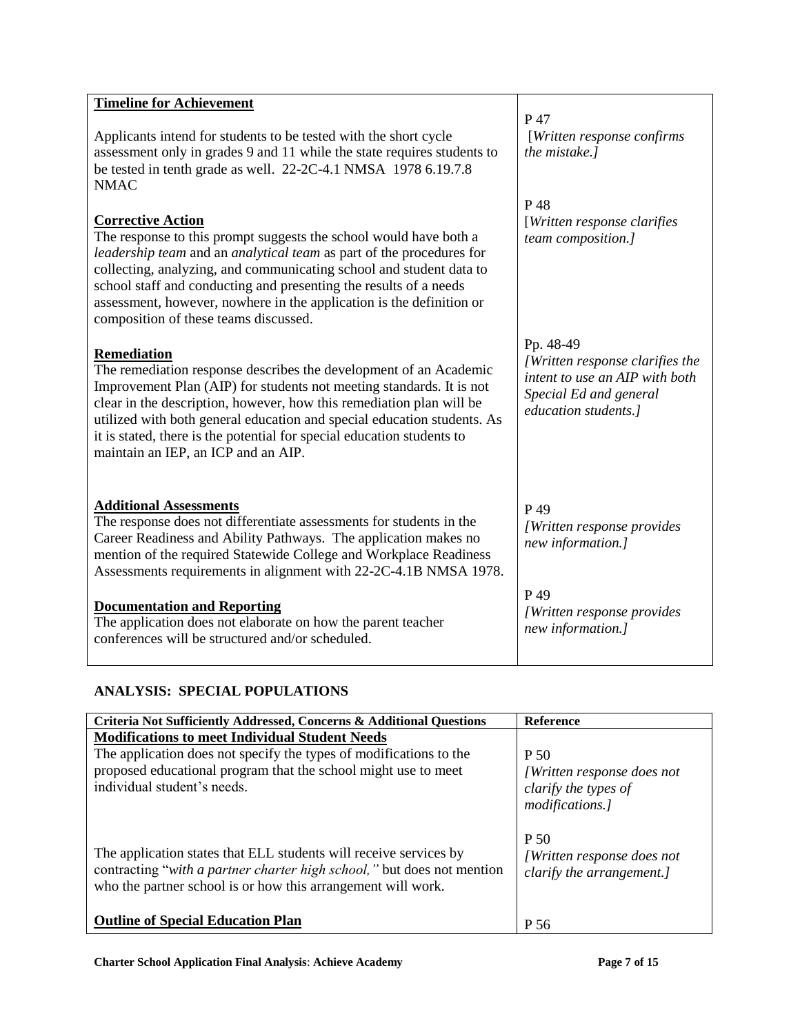| <b>Timeline for Achievement</b><br>Applicants intend for students to be tested with the short cycle<br>assessment only in grades 9 and 11 while the state requires students to<br>be tested in tenth grade as well. 22-2C-4.1 NMSA 1978 6.19.7.8<br><b>NMAC</b>                                                                                                                                                                     | P 47<br>[Written response confirms<br>the mistake.]                                                                              |
|-------------------------------------------------------------------------------------------------------------------------------------------------------------------------------------------------------------------------------------------------------------------------------------------------------------------------------------------------------------------------------------------------------------------------------------|----------------------------------------------------------------------------------------------------------------------------------|
| <b>Corrective Action</b><br>The response to this prompt suggests the school would have both a<br>leadership team and an analytical team as part of the procedures for<br>collecting, analyzing, and communicating school and student data to<br>school staff and conducting and presenting the results of a needs<br>assessment, however, nowhere in the application is the definition or<br>composition of these teams discussed.  | P 48<br>[Written response clarifies]<br>team composition.]                                                                       |
| <b>Remediation</b><br>The remediation response describes the development of an Academic<br>Improvement Plan (AIP) for students not meeting standards. It is not<br>clear in the description, however, how this remediation plan will be<br>utilized with both general education and special education students. As<br>it is stated, there is the potential for special education students to<br>maintain an IEP, an ICP and an AIP. | Pp. 48-49<br>[Written response clarifies the<br>intent to use an AIP with both<br>Special Ed and general<br>education students.] |
| <b>Additional Assessments</b><br>The response does not differentiate assessments for students in the<br>Career Readiness and Ability Pathways. The application makes no<br>mention of the required Statewide College and Workplace Readiness<br>Assessments requirements in alignment with 22-2C-4.1B NMSA 1978.                                                                                                                    | P 49<br>[Written response provides]<br>new information.]                                                                         |
| <b>Documentation and Reporting</b><br>The application does not elaborate on how the parent teacher<br>conferences will be structured and/or scheduled.                                                                                                                                                                                                                                                                              | P 49<br>[Written response provides<br>new information.]                                                                          |

## **ANALYSIS: SPECIAL POPULATIONS**

| [Written response does not |
|----------------------------|
|                            |
|                            |
|                            |
|                            |
| [Written response does not |
| clarify the arrangement.]  |
|                            |
|                            |
|                            |
|                            |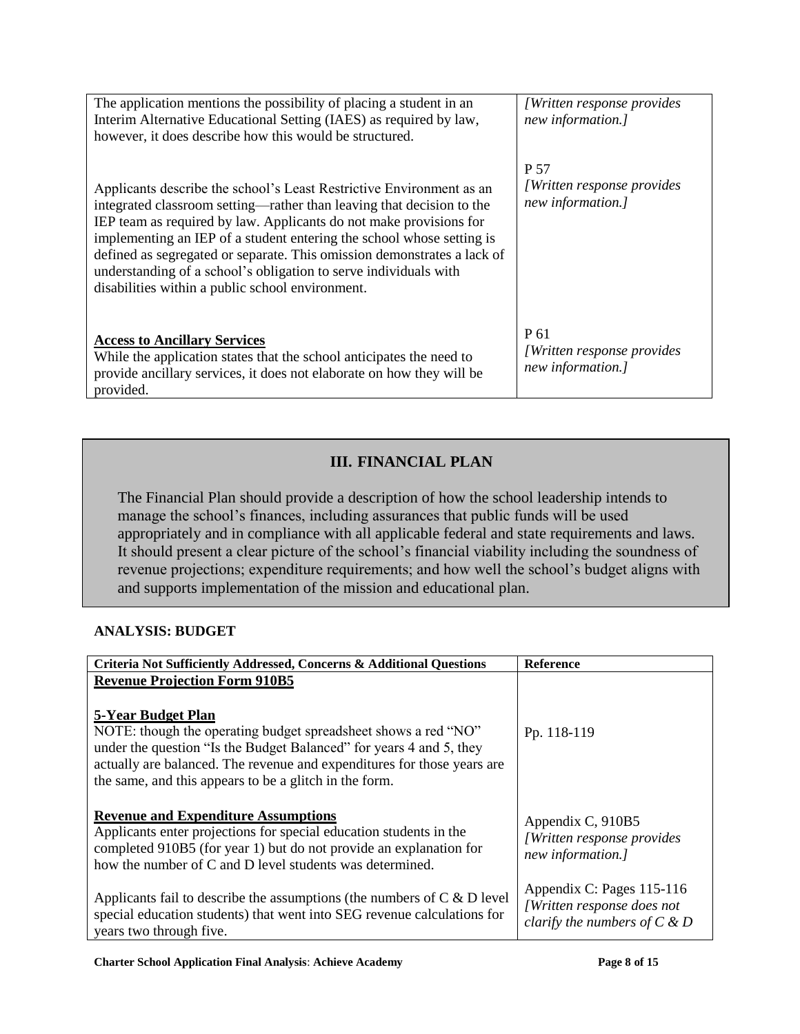| The application mentions the possibility of placing a student in an<br>Interim Alternative Educational Setting (IAES) as required by law,<br>however, it does describe how this would be structured.                                                                                                                                                                                                                                                                                            | <i>[Written response provides]</i><br>new information.]       |
|-------------------------------------------------------------------------------------------------------------------------------------------------------------------------------------------------------------------------------------------------------------------------------------------------------------------------------------------------------------------------------------------------------------------------------------------------------------------------------------------------|---------------------------------------------------------------|
| Applicants describe the school's Least Restrictive Environment as an<br>integrated classroom setting—rather than leaving that decision to the<br>IEP team as required by law. Applicants do not make provisions for<br>implementing an IEP of a student entering the school whose setting is<br>defined as segregated or separate. This omission demonstrates a lack of<br>understanding of a school's obligation to serve individuals with<br>disabilities within a public school environment. | P 57<br><i>Written response provides</i><br>new information.] |
| <b>Access to Ancillary Services</b><br>While the application states that the school anticipates the need to<br>provide ancillary services, it does not elaborate on how they will be<br>provided.                                                                                                                                                                                                                                                                                               | P 61<br>[Written response provides]<br>new information.]      |

## **III. FINANCIAL PLAN**

The Financial Plan should provide a description of how the school leadership intends to manage the school's finances, including assurances that public funds will be used appropriately and in compliance with all applicable federal and state requirements and laws. It should present a clear picture of the school's financial viability including the soundness of revenue projections; expenditure requirements; and how well the school's budget aligns with and supports implementation of the mission and educational plan.

## **ANALYSIS: BUDGET**

| Criteria Not Sufficiently Addressed, Concerns & Additional Questions                                                                                                                                                                                                                             | <b>Reference</b>                                                                           |
|--------------------------------------------------------------------------------------------------------------------------------------------------------------------------------------------------------------------------------------------------------------------------------------------------|--------------------------------------------------------------------------------------------|
| <b>Revenue Projection Form 910B5</b>                                                                                                                                                                                                                                                             |                                                                                            |
| 5-Year Budget Plan<br>NOTE: though the operating budget spreadsheet shows a red "NO"<br>under the question "Is the Budget Balanced" for years 4 and 5, they<br>actually are balanced. The revenue and expenditures for those years are<br>the same, and this appears to be a glitch in the form. | Pp. 118-119                                                                                |
| <b>Revenue and Expenditure Assumptions</b><br>Applicants enter projections for special education students in the<br>completed 910B5 (for year 1) but do not provide an explanation for<br>how the number of C and D level students was determined.                                               | Appendix C, 910B5<br>[Written response provides]<br>new information.]                      |
| Applicants fail to describe the assumptions (the numbers of $C \& D$ level<br>special education students) that went into SEG revenue calculations for<br>years two through five.                                                                                                                 | Appendix C: Pages 115-116<br>[Written response does not<br>clarify the numbers of $C \& D$ |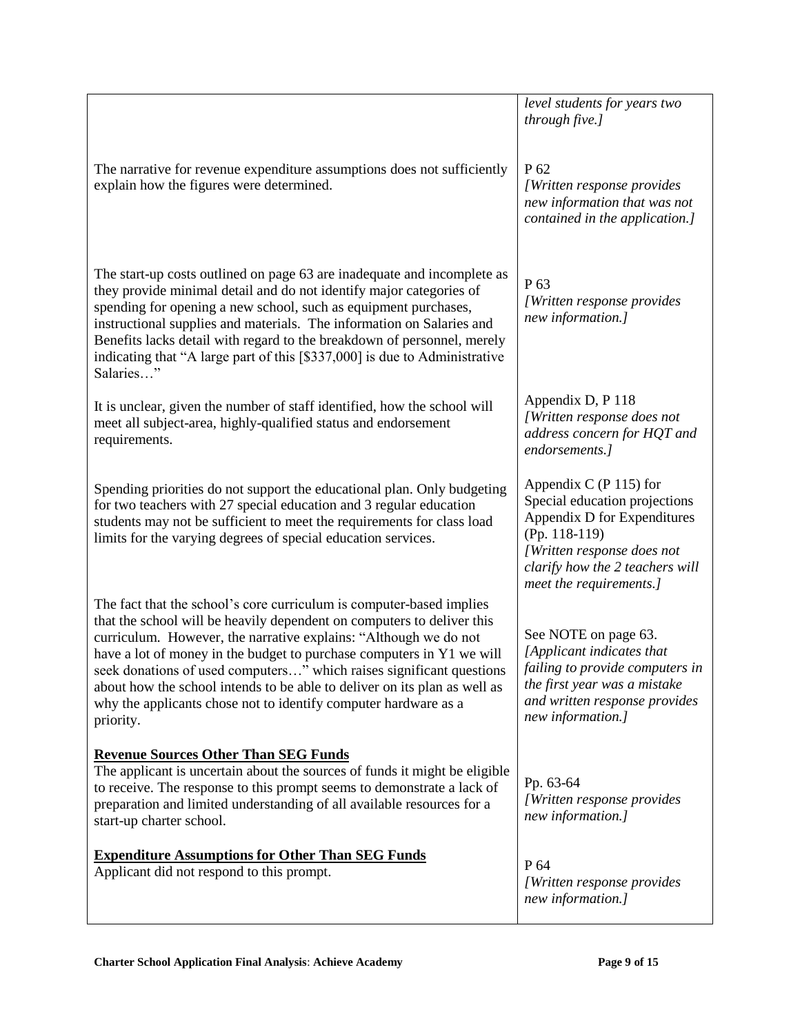|                                                                                                                                                                                                                                                                                                                                                                                                                                                                                                                                  | level students for years two<br>through five.]                                                                                                                                                        |
|----------------------------------------------------------------------------------------------------------------------------------------------------------------------------------------------------------------------------------------------------------------------------------------------------------------------------------------------------------------------------------------------------------------------------------------------------------------------------------------------------------------------------------|-------------------------------------------------------------------------------------------------------------------------------------------------------------------------------------------------------|
| The narrative for revenue expenditure assumptions does not sufficiently<br>explain how the figures were determined.                                                                                                                                                                                                                                                                                                                                                                                                              | P <sub>62</sub><br>[Written response provides<br>new information that was not<br>contained in the application.]                                                                                       |
| The start-up costs outlined on page 63 are inadequate and incomplete as<br>they provide minimal detail and do not identify major categories of<br>spending for opening a new school, such as equipment purchases,<br>instructional supplies and materials. The information on Salaries and<br>Benefits lacks detail with regard to the breakdown of personnel, merely<br>indicating that "A large part of this [\$337,000] is due to Administrative<br>Salaries"                                                                 | P <sub>63</sub><br>[Written response provides<br>new information.]                                                                                                                                    |
| It is unclear, given the number of staff identified, how the school will<br>meet all subject-area, highly-qualified status and endorsement<br>requirements.                                                                                                                                                                                                                                                                                                                                                                      | Appendix D, P 118<br>[Written response does not<br>address concern for HQT and<br>endorsements.]                                                                                                      |
| Spending priorities do not support the educational plan. Only budgeting<br>for two teachers with 27 special education and 3 regular education<br>students may not be sufficient to meet the requirements for class load<br>limits for the varying degrees of special education services.                                                                                                                                                                                                                                         | Appendix C $(P 115)$ for<br>Special education projections<br>Appendix D for Expenditures<br>(Pp. 118-119)<br>[Written response does not<br>clarify how the 2 teachers will<br>meet the requirements.] |
| The fact that the school's core curriculum is computer-based implies<br>that the school will be heavily dependent on computers to deliver this<br>curriculum. However, the narrative explains: "Although we do not<br>have a lot of money in the budget to purchase computers in Y1 we will<br>seek donations of used computers" which raises significant questions<br>about how the school intends to be able to deliver on its plan as well as<br>why the applicants chose not to identify computer hardware as a<br>priority. | See NOTE on page 63.<br>[Applicant indicates that<br>failing to provide computers in<br>the first year was a mistake<br>and written response provides<br>new information.]                            |
| <b>Revenue Sources Other Than SEG Funds</b><br>The applicant is uncertain about the sources of funds it might be eligible<br>to receive. The response to this prompt seems to demonstrate a lack of<br>preparation and limited understanding of all available resources for a<br>start-up charter school.                                                                                                                                                                                                                        | Pp. 63-64<br>[Written response provides<br>new information.]                                                                                                                                          |
| <b>Expenditure Assumptions for Other Than SEG Funds</b><br>Applicant did not respond to this prompt.                                                                                                                                                                                                                                                                                                                                                                                                                             | P 64<br>[Written response provides<br>new information.]                                                                                                                                               |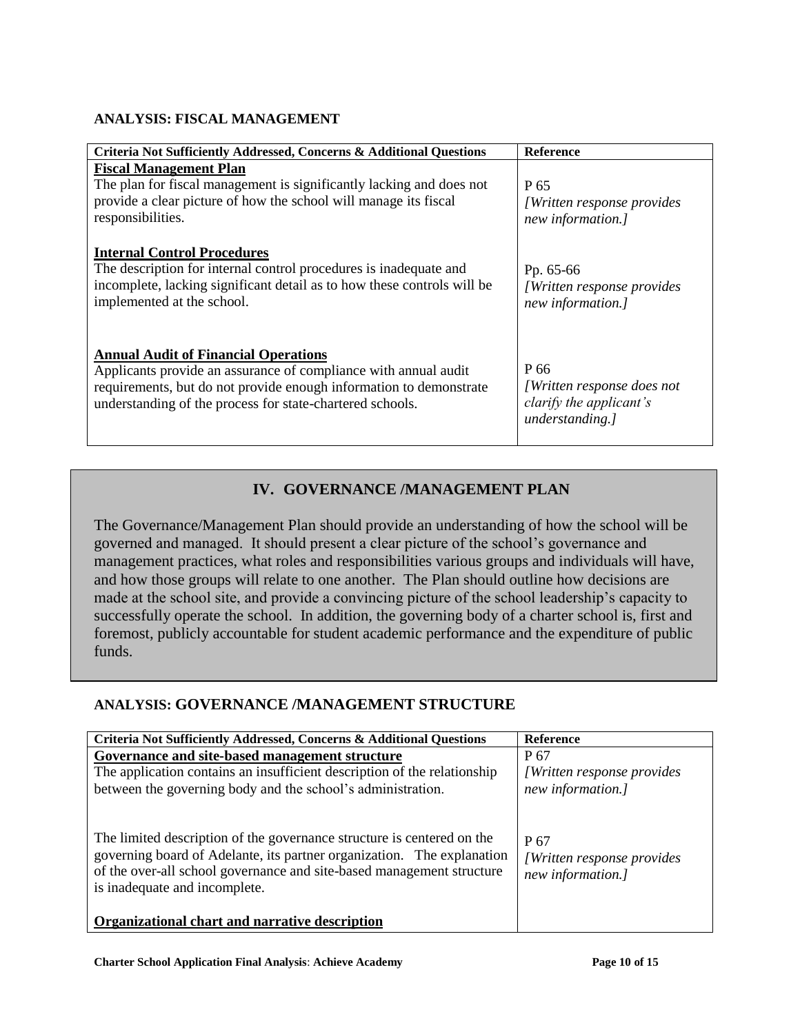#### **ANALYSIS: FISCAL MANAGEMENT**

| Criteria Not Sufficiently Addressed, Concerns & Additional Questions                                                                                                                                                                              | <b>Reference</b>                                                                        |
|---------------------------------------------------------------------------------------------------------------------------------------------------------------------------------------------------------------------------------------------------|-----------------------------------------------------------------------------------------|
| <b>Fiscal Management Plan</b><br>The plan for fiscal management is significantly lacking and does not<br>provide a clear picture of how the school will manage its fiscal<br>responsibilities.                                                    | P 65<br><i>[Written response provides]</i><br>new information.]                         |
| <b>Internal Control Procedures</b><br>The description for internal control procedures is inadequate and<br>incomplete, lacking significant detail as to how these controls will be<br>implemented at the school.                                  | Pp. 65-66<br><i>[Written response provides]</i><br>new information.]                    |
| <b>Annual Audit of Financial Operations</b><br>Applicants provide an assurance of compliance with annual audit<br>requirements, but do not provide enough information to demonstrate<br>understanding of the process for state-chartered schools. | P 66<br><i>[Written response does not</i><br>clarify the applicant's<br>understanding.] |

## **IV. GOVERNANCE /MANAGEMENT PLAN**

The Governance/Management Plan should provide an understanding of how the school will be governed and managed. It should present a clear picture of the school's governance and management practices, what roles and responsibilities various groups and individuals will have, and how those groups will relate to one another. The Plan should outline how decisions are made at the school site, and provide a convincing picture of the school leadership's capacity to successfully operate the school. In addition, the governing body of a charter school is, first and foremost, publicly accountable for student academic performance and the expenditure of public funds.

## **ANALYSIS: GOVERNANCE /MANAGEMENT STRUCTURE**

| Criteria Not Sufficiently Addressed, Concerns & Additional Questions                                                                                                                                                                                                                                         | <b>Reference</b>                                         |
|--------------------------------------------------------------------------------------------------------------------------------------------------------------------------------------------------------------------------------------------------------------------------------------------------------------|----------------------------------------------------------|
| Governance and site-based management structure                                                                                                                                                                                                                                                               | P 67                                                     |
| The application contains an insufficient description of the relationship                                                                                                                                                                                                                                     | <i>[Written response provides]</i>                       |
| between the governing body and the school's administration.                                                                                                                                                                                                                                                  | new information.]                                        |
| The limited description of the governance structure is centered on the<br>governing board of Adelante, its partner organization. The explanation<br>of the over-all school governance and site-based management structure<br>is inadequate and incomplete.<br>Organizational chart and narrative description | P 67<br>[Written response provides]<br>new information.] |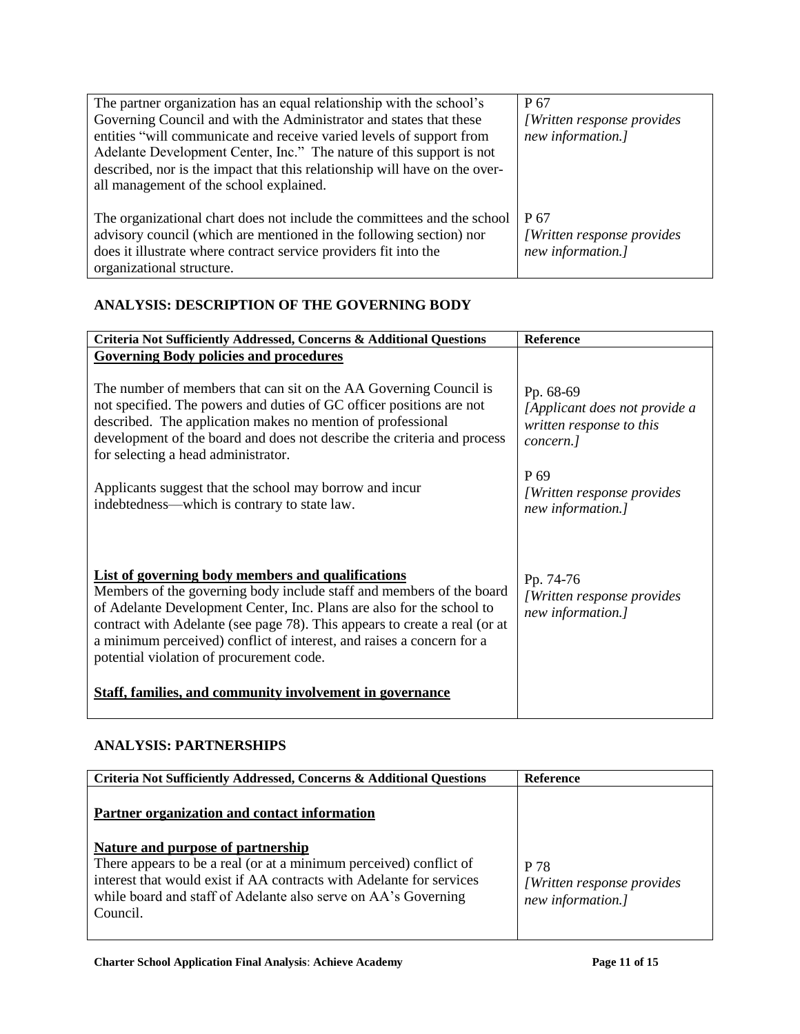| The partner organization has an equal relationship with the school's<br>Governing Council and with the Administrator and states that these<br>entities "will communicate and receive varied levels of support from<br>Adelante Development Center, Inc." The nature of this support is not<br>described, nor is the impact that this relationship will have on the over-<br>all management of the school explained. | P 67<br>[Written response provides]<br>new information.] |
|---------------------------------------------------------------------------------------------------------------------------------------------------------------------------------------------------------------------------------------------------------------------------------------------------------------------------------------------------------------------------------------------------------------------|----------------------------------------------------------|
| The organizational chart does not include the committees and the school<br>advisory council (which are mentioned in the following section) nor<br>does it illustrate where contract service providers fit into the<br>organizational structure.                                                                                                                                                                     | P 67<br>[Written response provides]<br>new information.] |

#### **ANALYSIS: DESCRIPTION OF THE GOVERNING BODY**

| Criteria Not Sufficiently Addressed, Concerns & Additional Questions                                                                                                                                                                                                                                                                                                                                  | Reference                                                                           |
|-------------------------------------------------------------------------------------------------------------------------------------------------------------------------------------------------------------------------------------------------------------------------------------------------------------------------------------------------------------------------------------------------------|-------------------------------------------------------------------------------------|
| <b>Governing Body policies and procedures</b>                                                                                                                                                                                                                                                                                                                                                         |                                                                                     |
| The number of members that can sit on the AA Governing Council is<br>not specified. The powers and duties of GC officer positions are not<br>described. The application makes no mention of professional<br>development of the board and does not describe the criteria and process<br>for selecting a head administrator.                                                                            | Pp. 68-69<br>[Applicant does not provide a<br>written response to this<br>concern.] |
| Applicants suggest that the school may borrow and incur<br>indebtedness—which is contrary to state law.                                                                                                                                                                                                                                                                                               | P <sub>69</sub><br>[Written response provides]<br>new information.]                 |
| List of governing body members and qualifications<br>Members of the governing body include staff and members of the board<br>of Adelante Development Center, Inc. Plans are also for the school to<br>contract with Adelante (see page 78). This appears to create a real (or at<br>a minimum perceived) conflict of interest, and raises a concern for a<br>potential violation of procurement code. | Pp. 74-76<br>[Written response provides<br>new information.]                        |
| <b>Staff, families, and community involvement in governance</b>                                                                                                                                                                                                                                                                                                                                       |                                                                                     |

#### **ANALYSIS: PARTNERSHIPS**

| Criteria Not Sufficiently Addressed, Concerns & Additional Questions                                                                                                                                                                                                                                          | <b>Reference</b>                                         |
|---------------------------------------------------------------------------------------------------------------------------------------------------------------------------------------------------------------------------------------------------------------------------------------------------------------|----------------------------------------------------------|
| Partner organization and contact information<br>Nature and purpose of partnership<br>There appears to be a real (or at a minimum perceived) conflict of<br>interest that would exist if AA contracts with Adelante for services<br>while board and staff of Adelante also serve on AA's Governing<br>Council. | P 78<br>[Written response provides]<br>new information.] |
|                                                                                                                                                                                                                                                                                                               |                                                          |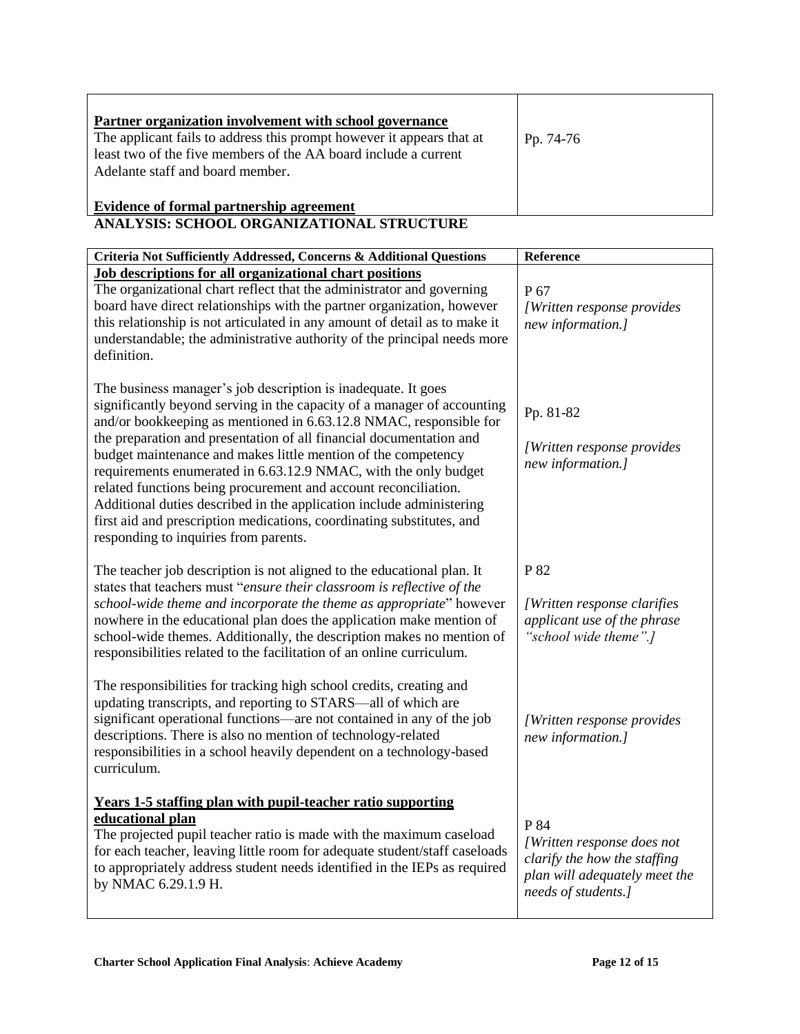| Partner organization involvement with school governance<br>The applicant fails to address this prompt however it appears that at<br>least two of the five members of the AA board include a current<br>Adelante staff and board member. | Pp. 74-76 |
|-----------------------------------------------------------------------------------------------------------------------------------------------------------------------------------------------------------------------------------------|-----------|
| Evidence of formal partnership agreement                                                                                                                                                                                                |           |

#### **ANALYSIS: SCHOOL ORGANIZATIONAL STRUCTURE**

| Criteria Not Sufficiently Addressed, Concerns & Additional Questions                                                                                                                                                                                                                                                                                                                                                                                                                                                                                                                                                                                                                   | Reference                                                                                                                  |
|----------------------------------------------------------------------------------------------------------------------------------------------------------------------------------------------------------------------------------------------------------------------------------------------------------------------------------------------------------------------------------------------------------------------------------------------------------------------------------------------------------------------------------------------------------------------------------------------------------------------------------------------------------------------------------------|----------------------------------------------------------------------------------------------------------------------------|
| <b>Job descriptions for all organizational chart positions</b><br>The organizational chart reflect that the administrator and governing<br>board have direct relationships with the partner organization, however<br>this relationship is not articulated in any amount of detail as to make it<br>understandable; the administrative authority of the principal needs more<br>definition.                                                                                                                                                                                                                                                                                             | P 67<br>[Written response provides<br>new information.]                                                                    |
| The business manager's job description is inadequate. It goes<br>significantly beyond serving in the capacity of a manager of accounting<br>and/or bookkeeping as mentioned in 6.63.12.8 NMAC, responsible for<br>the preparation and presentation of all financial documentation and<br>budget maintenance and makes little mention of the competency<br>requirements enumerated in 6.63.12.9 NMAC, with the only budget<br>related functions being procurement and account reconciliation.<br>Additional duties described in the application include administering<br>first aid and prescription medications, coordinating substitutes, and<br>responding to inquiries from parents. | Pp. 81-82<br>[Written response provides<br>new information.]                                                               |
| The teacher job description is not aligned to the educational plan. It<br>states that teachers must "ensure their classroom is reflective of the<br>school-wide theme and incorporate the theme as appropriate" however<br>nowhere in the educational plan does the application make mention of<br>school-wide themes. Additionally, the description makes no mention of<br>responsibilities related to the facilitation of an online curriculum.                                                                                                                                                                                                                                      | P 82<br>[Written response clarifies]<br>applicant use of the phrase<br>"school wide theme".]                               |
| The responsibilities for tracking high school credits, creating and<br>updating transcripts, and reporting to STARS-all of which are<br>significant operational functions—are not contained in any of the job<br>descriptions. There is also no mention of technology-related<br>responsibilities in a school heavily dependent on a technology-based<br>curriculum.                                                                                                                                                                                                                                                                                                                   | [Written response provides<br>new information.]                                                                            |
| <b>Years 1-5 staffing plan with pupil-teacher ratio supporting</b><br>educational plan<br>The projected pupil teacher ratio is made with the maximum caseload<br>for each teacher, leaving little room for adequate student/staff caseloads<br>to appropriately address student needs identified in the IEPs as required<br>by NMAC 6.29.1.9 H.                                                                                                                                                                                                                                                                                                                                        | P 84<br>[Written response does not<br>clarify the how the staffing<br>plan will adequately meet the<br>needs of students.] |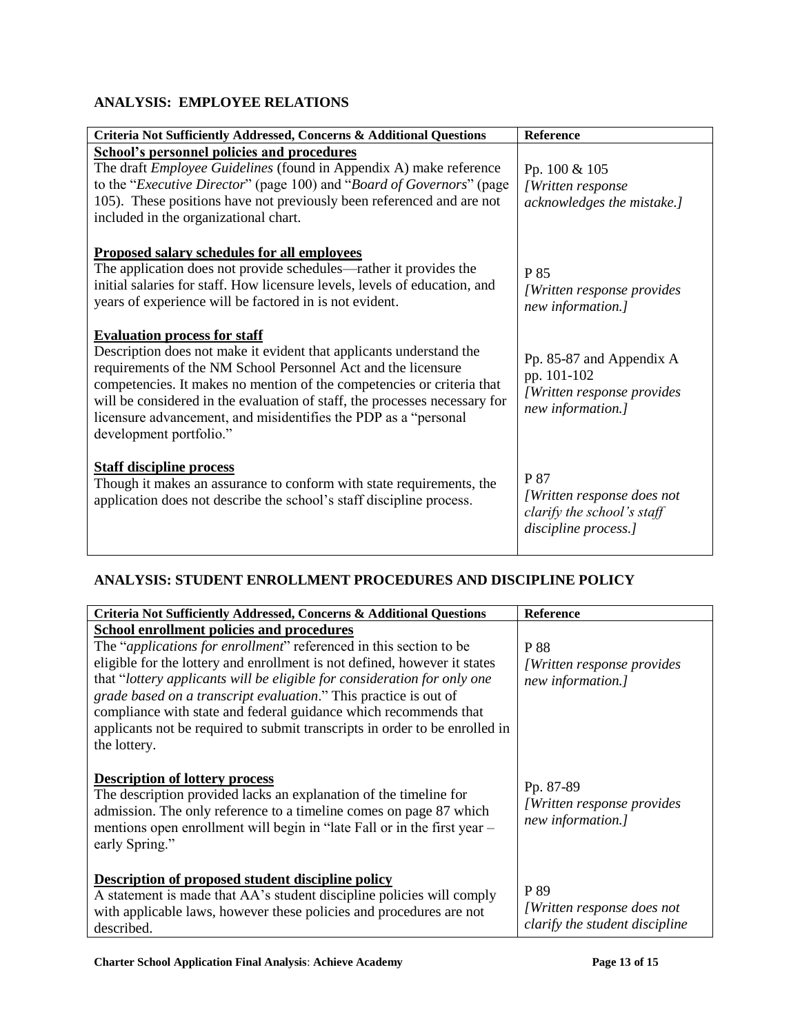## **ANALYSIS: EMPLOYEE RELATIONS**

| Criteria Not Sufficiently Addressed, Concerns & Additional Questions                                                                                                                                                                                                                                                                                                                                                              | Reference                                                                                   |
|-----------------------------------------------------------------------------------------------------------------------------------------------------------------------------------------------------------------------------------------------------------------------------------------------------------------------------------------------------------------------------------------------------------------------------------|---------------------------------------------------------------------------------------------|
| <b>School's personnel policies and procedures</b><br>The draft <i>Employee Guidelines</i> (found in Appendix A) make reference<br>to the "Executive Director" (page 100) and "Board of Governors" (page<br>105). These positions have not previously been referenced and are not<br>included in the organizational chart.                                                                                                         | Pp. 100 & 105<br>[Written response<br>acknowledges the mistake.]                            |
| Proposed salary schedules for all employees<br>The application does not provide schedules—rather it provides the<br>initial salaries for staff. How licensure levels, levels of education, and<br>years of experience will be factored in is not evident.                                                                                                                                                                         | P 85<br>[Written response provides]<br>new information.]                                    |
| <b>Evaluation process for staff</b><br>Description does not make it evident that applicants understand the<br>requirements of the NM School Personnel Act and the licensure<br>competencies. It makes no mention of the competencies or criteria that<br>will be considered in the evaluation of staff, the processes necessary for<br>licensure advancement, and misidentifies the PDP as a "personal<br>development portfolio." | Pp. 85-87 and Appendix A<br>pp. 101-102<br>[Written response provides]<br>new information.] |
| <b>Staff discipline process</b><br>Though it makes an assurance to conform with state requirements, the<br>application does not describe the school's staff discipline process.                                                                                                                                                                                                                                                   | P 87<br>[Written response does not<br>clarify the school's staff<br>discipline process.]    |

## **ANALYSIS: STUDENT ENROLLMENT PROCEDURES AND DISCIPLINE POLICY**

| Criteria Not Sufficiently Addressed, Concerns & Additional Questions                                                                                                                                                                                                           | <b>Reference</b>                                              |
|--------------------------------------------------------------------------------------------------------------------------------------------------------------------------------------------------------------------------------------------------------------------------------|---------------------------------------------------------------|
| School enrollment policies and procedures                                                                                                                                                                                                                                      |                                                               |
| The " <i>applications for enrollment</i> " referenced in this section to be                                                                                                                                                                                                    | <b>P</b> 88                                                   |
| eligible for the lottery and enrollment is not defined, however it states                                                                                                                                                                                                      | <i>[Written response provides]</i>                            |
| that "lottery applicants will be eligible for consideration for only one                                                                                                                                                                                                       | new information.]                                             |
| grade based on a transcript evaluation." This practice is out of                                                                                                                                                                                                               |                                                               |
| compliance with state and federal guidance which recommends that                                                                                                                                                                                                               |                                                               |
| applicants not be required to submit transcripts in order to be enrolled in                                                                                                                                                                                                    |                                                               |
| the lottery.                                                                                                                                                                                                                                                                   |                                                               |
| <b>Description of lottery process</b><br>The description provided lacks an explanation of the timeline for<br>admission. The only reference to a timeline comes on page 87 which<br>mentions open enrollment will begin in "late Fall or in the first year –<br>early Spring." | Pp. 87-89<br>[Written response provides]<br>new information.] |
| Description of proposed student discipline policy<br>A statement is made that AA's student discipline policies will comply<br>with applicable laws, however these policies and procedures are not                                                                              | P 89<br>[Written response does not                            |
| described.                                                                                                                                                                                                                                                                     | clarify the student discipline                                |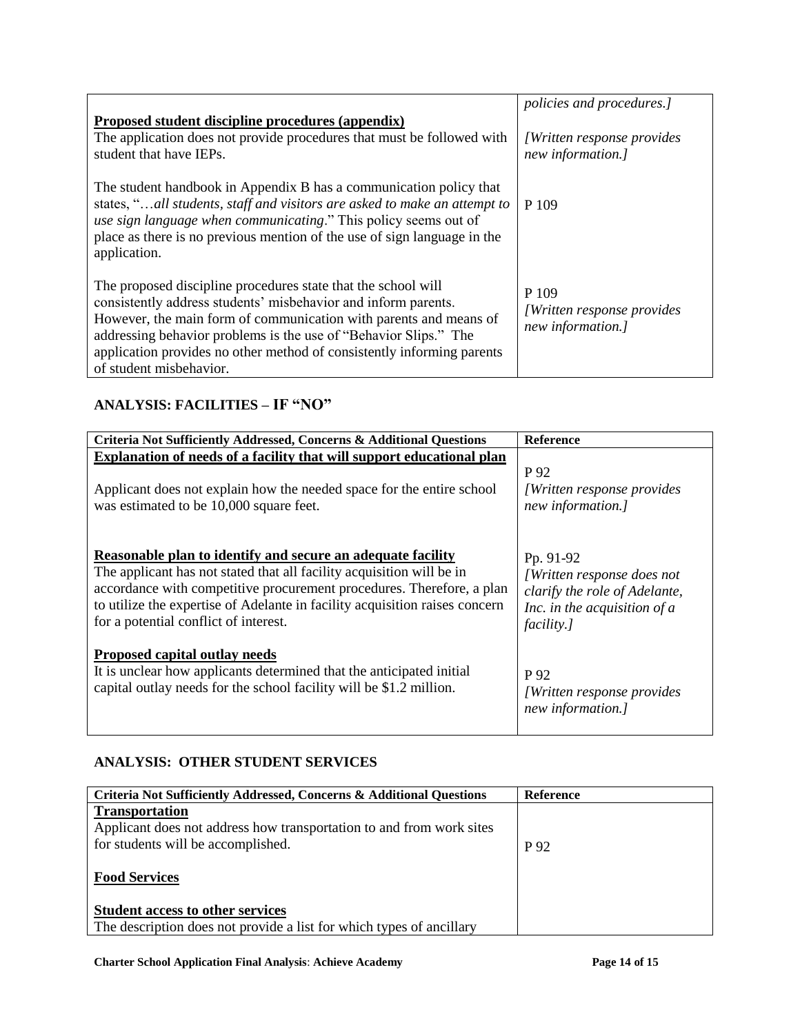|                                                                                                                                                                                                                                                                                                                                                                               | policies and procedures.]                                        |
|-------------------------------------------------------------------------------------------------------------------------------------------------------------------------------------------------------------------------------------------------------------------------------------------------------------------------------------------------------------------------------|------------------------------------------------------------------|
| Proposed student discipline procedures (appendix)                                                                                                                                                                                                                                                                                                                             |                                                                  |
| The application does not provide procedures that must be followed with<br>student that have IEPs.                                                                                                                                                                                                                                                                             | <i>Written response provides</i><br>new information.]            |
| The student handbook in Appendix B has a communication policy that<br>states, "all students, staff and visitors are asked to make an attempt to<br>use sign language when communicating." This policy seems out of<br>place as there is no previous mention of the use of sign language in the<br>application.                                                                | P 109                                                            |
| The proposed discipline procedures state that the school will<br>consistently address students' misbehavior and inform parents.<br>However, the main form of communication with parents and means of<br>addressing behavior problems is the use of "Behavior Slips." The<br>application provides no other method of consistently informing parents<br>of student misbehavior. | P 109<br><i>[Written response provides]</i><br>new information.] |

# **ANALYSIS: FACILITIES – IF "NO"**

| Criteria Not Sufficiently Addressed, Concerns & Additional Questions                                                                                                                                                                                                                                                                  | <b>Reference</b>                                                                                                         |
|---------------------------------------------------------------------------------------------------------------------------------------------------------------------------------------------------------------------------------------------------------------------------------------------------------------------------------------|--------------------------------------------------------------------------------------------------------------------------|
| Explanation of needs of a facility that will support educational plan                                                                                                                                                                                                                                                                 |                                                                                                                          |
| Applicant does not explain how the needed space for the entire school<br>was estimated to be 10,000 square feet.                                                                                                                                                                                                                      | P 92<br><i>[Written response provides]</i><br>new information.]                                                          |
| Reasonable plan to identify and secure an adequate facility<br>The applicant has not stated that all facility acquisition will be in<br>accordance with competitive procurement procedures. Therefore, a plan<br>to utilize the expertise of Adelante in facility acquisition raises concern<br>for a potential conflict of interest. | Pp. 91-92<br>[Written response does not<br>clarify the role of Adelante,<br>Inc. in the acquisition of $a$<br>facility.] |
| <b>Proposed capital outlay needs</b><br>It is unclear how applicants determined that the anticipated initial<br>capital outlay needs for the school facility will be \$1.2 million.                                                                                                                                                   | P 92<br><i>[Written response provides]</i><br>new information.]                                                          |

## **ANALYSIS: OTHER STUDENT SERVICES**

| Criteria Not Sufficiently Addressed, Concerns & Additional Questions                                                                | Reference |
|-------------------------------------------------------------------------------------------------------------------------------------|-----------|
| <b>Transportation</b><br>Applicant does not address how transportation to and from work sites<br>for students will be accomplished. | P 92      |
| <b>Food Services</b>                                                                                                                |           |
| <b>Student access to other services</b><br>The description does not provide a list for which types of ancillary                     |           |